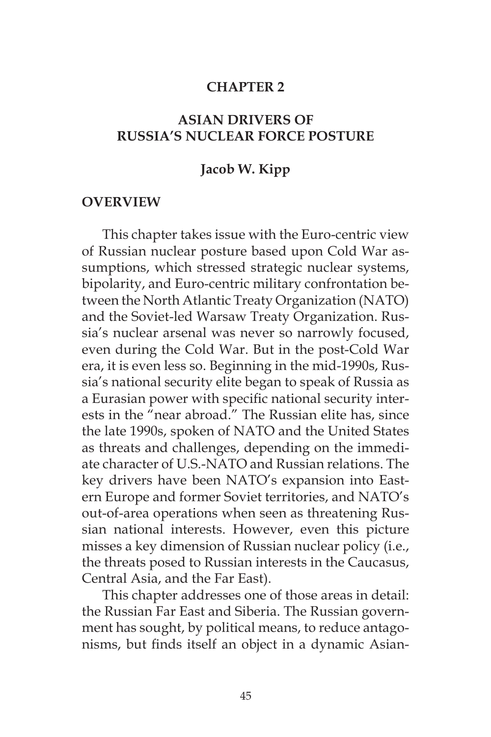#### **CHAPTER 2**

# **ASIAN DRIVERS OF RUSSIA'S NUCLEAR FORCE POSTURE**

### **Jacob W. Kipp**

#### **OVERVIEW**

This chapter takes issue with the Euro-centric view of Russian nuclear posture based upon Cold War assumptions, which stressed strategic nuclear systems, bipolarity, and Euro-centric military confrontation between the North Atlantic Treaty Organization (NATO) and the Soviet-led Warsaw Treaty Organization. Russia's nuclear arsenal was never so narrowly focused, even during the Cold War. But in the post-Cold War era, it is even less so. Beginning in the mid-1990s, Russia's national security elite began to speak of Russia as a Eurasian power with specific national security interests in the "near abroad." The Russian elite has, since the late 1990s, spoken of NATO and the United States as threats and challenges, depending on the immediate character of U.S.-NATO and Russian relations. The key drivers have been NATO's expansion into Eastern Europe and former Soviet territories, and NATO's out-of-area operations when seen as threatening Russian national interests. However, even this picture misses a key dimension of Russian nuclear policy (i.e., the threats posed to Russian interests in the Caucasus, Central Asia, and the Far East).

This chapter addresses one of those areas in detail: the Russian Far East and Siberia. The Russian government has sought, by political means, to reduce antagonisms, but finds itself an object in a dynamic Asian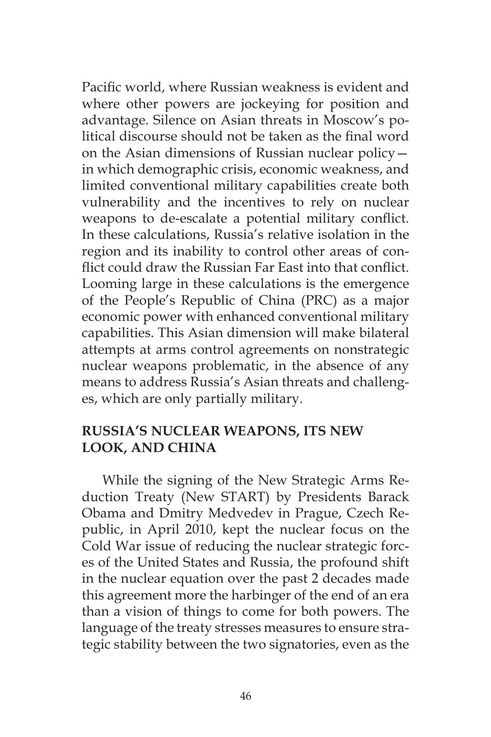Pacific world, where Russian weakness is evident and where other powers are jockeying for position and advantage. Silence on Asian threats in Moscow's political discourse should not be taken as the final word on the Asian dimensions of Russian nuclear policy in which demographic crisis, economic weakness, and limited conventional military capabilities create both vulnerability and the incentives to rely on nuclear weapons to de-escalate a potential military conflict. In these calculations, Russia's relative isolation in the region and its inability to control other areas of conflict could draw the Russian Far East into that conflict. Looming large in these calculations is the emergence of the People's Republic of China (PRC) as a major economic power with enhanced conventional military capabilities. This Asian dimension will make bilateral attempts at arms control agreements on nonstrategic nuclear weapons problematic, in the absence of any means to address Russia's Asian threats and challenges, which are only partially military.

# **RUSSIA'S NUCLEAR WEAPONS, ITS NEW LOOK, AND CHINA**

While the signing of the New Strategic Arms Reduction Treaty (New START) by Presidents Barack Obama and Dmitry Medvedev in Prague, Czech Republic, in April 2010, kept the nuclear focus on the Cold War issue of reducing the nuclear strategic forces of the United States and Russia, the profound shift in the nuclear equation over the past 2 decades made this agreement more the harbinger of the end of an era than a vision of things to come for both powers. The language of the treaty stresses measures to ensure strategic stability between the two signatories, even as the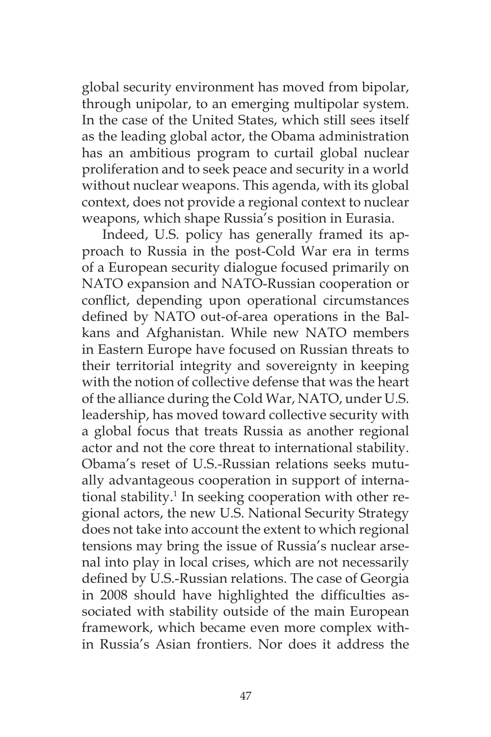global security environment has moved from bipolar, through unipolar, to an emerging multipolar system. In the case of the United States, which still sees itself as the leading global actor, the Obama administration has an ambitious program to curtail global nuclear proliferation and to seek peace and security in a world without nuclear weapons. This agenda, with its global context, does not provide a regional context to nuclear weapons, which shape Russia's position in Eurasia.

Indeed, U.S. policy has generally framed its approach to Russia in the post-Cold War era in terms of a European security dialogue focused primarily on NATO expansion and NATO-Russian cooperation or conflict, depending upon operational circumstances defined by NATO out-of-area operations in the Balkans and Afghanistan. While new NATO members in Eastern Europe have focused on Russian threats to their territorial integrity and sovereignty in keeping with the notion of collective defense that was the heart of the alliance during the Cold War, NATO, under U.S. leadership, has moved toward collective security with a global focus that treats Russia as another regional actor and not the core threat to international stability. Obama's reset of U.S.-Russian relations seeks mutually advantageous cooperation in support of international stability.<sup>1</sup> In seeking cooperation with other regional actors, the new U.S. National Security Strategy does not take into account the extent to which regional tensions may bring the issue of Russia's nuclear arsenal into play in local crises, which are not necessarily defined by U.S.-Russian relations. The case of Georgia in 2008 should have highlighted the difficulties associated with stability outside of the main European framework, which became even more complex within Russia's Asian frontiers. Nor does it address the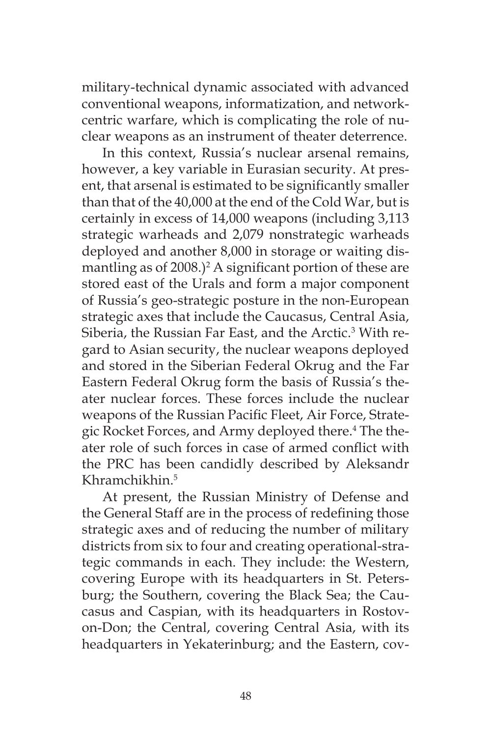military-technical dynamic associated with advanced conventional weapons, informatization, and networkcentric warfare, which is complicating the role of nuclear weapons as an instrument of theater deterrence.

In this context, Russia's nuclear arsenal remains, however, a key variable in Eurasian security. At present, that arsenal is estimated to be significantly smaller than that of the 40,000 at the end of the Cold War, but is certainly in excess of 14,000 weapons (including 3,113 strategic warheads and 2,079 nonstrategic warheads deployed and another 8,000 in storage or waiting dismantling as of  $2008$ .)<sup>2</sup> A significant portion of these are stored east of the Urals and form a major component of Russia's geo-strategic posture in the non-European strategic axes that include the Caucasus, Central Asia, Siberia, the Russian Far East, and the Arctic.<sup>3</sup> With regard to Asian security, the nuclear weapons deployed and stored in the Siberian Federal Okrug and the Far Eastern Federal Okrug form the basis of Russia's theater nuclear forces. These forces include the nuclear weapons of the Russian Pacific Fleet, Air Force, Strategic Rocket Forces, and Army deployed there.<sup>4</sup> The theater role of such forces in case of armed conflict with the PRC has been candidly described by Aleksandr Khramchikhin.5

At present, the Russian Ministry of Defense and the General Staff are in the process of redefining those strategic axes and of reducing the number of military districts from six to four and creating operational-strategic commands in each. They include: the Western, covering Europe with its headquarters in St. Petersburg; the Southern, covering the Black Sea; the Caucasus and Caspian, with its headquarters in Rostovon-Don; the Central, covering Central Asia, with its headquarters in Yekaterinburg; and the Eastern, cov-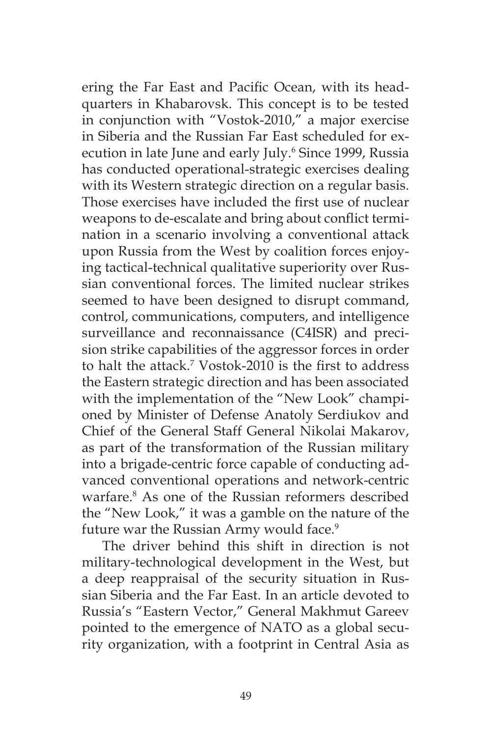ering the Far East and Pacific Ocean, with its headquarters in Khabarovsk. This concept is to be tested in conjunction with "Vostok-2010," a major exercise in Siberia and the Russian Far East scheduled for execution in late June and early July.<sup>6</sup> Since 1999, Russia has conducted operational-strategic exercises dealing with its Western strategic direction on a regular basis. Those exercises have included the first use of nuclear weapons to de-escalate and bring about conflict termination in a scenario involving a conventional attack upon Russia from the West by coalition forces enjoying tactical-technical qualitative superiority over Russian conventional forces. The limited nuclear strikes seemed to have been designed to disrupt command, control, communications, computers, and intelligence surveillance and reconnaissance (C4ISR) and precision strike capabilities of the aggressor forces in order to halt the attack.7 Vostok-2010 is the first to address the Eastern strategic direction and has been associated with the implementation of the "New Look" championed by Minister of Defense Anatoly Serdiukov and Chief of the General Staff General Nikolai Makarov, as part of the transformation of the Russian military into a brigade-centric force capable of conducting advanced conventional operations and network-centric warfare.8 As one of the Russian reformers described the "New Look," it was a gamble on the nature of the future war the Russian Army would face.<sup>9</sup>

The driver behind this shift in direction is not military-technological development in the West, but a deep reappraisal of the security situation in Russian Siberia and the Far East. In an article devoted to Russia's "Eastern Vector," General Makhmut Gareev pointed to the emergence of NATO as a global security organization, with a footprint in Central Asia as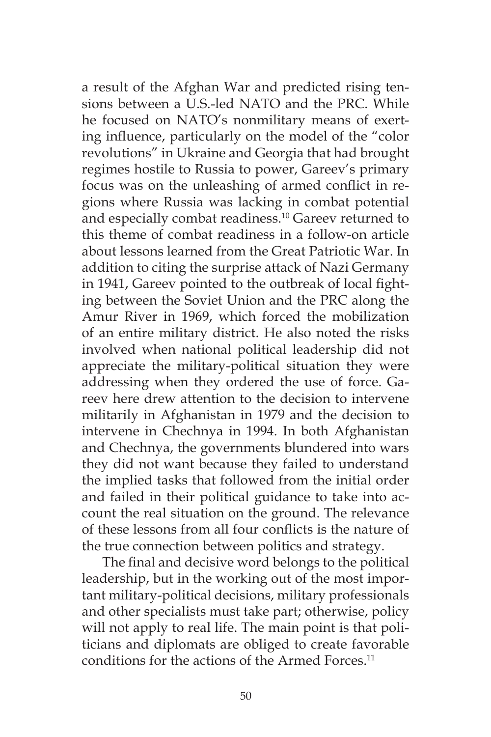a result of the Afghan War and predicted rising tensions between a U.S.-led NATO and the PRC. While he focused on NATO's nonmilitary means of exerting influence, particularly on the model of the "color revolutions" in Ukraine and Georgia that had brought regimes hostile to Russia to power, Gareev's primary focus was on the unleashing of armed conflict in regions where Russia was lacking in combat potential and especially combat readiness.<sup>10</sup> Gareev returned to this theme of combat readiness in a follow-on article about lessons learned from the Great Patriotic War. In addition to citing the surprise attack of Nazi Germany in 1941, Gareev pointed to the outbreak of local fighting between the Soviet Union and the PRC along the Amur River in 1969, which forced the mobilization of an entire military district. He also noted the risks involved when national political leadership did not appreciate the military-political situation they were addressing when they ordered the use of force. Gareev here drew attention to the decision to intervene militarily in Afghanistan in 1979 and the decision to intervene in Chechnya in 1994. In both Afghanistan and Chechnya, the governments blundered into wars they did not want because they failed to understand the implied tasks that followed from the initial order and failed in their political guidance to take into account the real situation on the ground. The relevance of these lessons from all four conflicts is the nature of the true connection between politics and strategy.

The final and decisive word belongs to the political leadership, but in the working out of the most important military-political decisions, military professionals and other specialists must take part; otherwise, policy will not apply to real life. The main point is that politicians and diplomats are obliged to create favorable conditions for the actions of the Armed Forces.11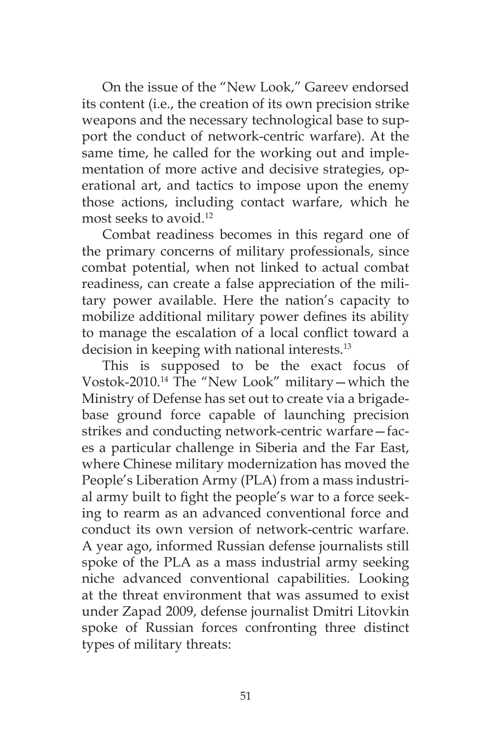On the issue of the "New Look," Gareev endorsed its content (i.e., the creation of its own precision strike weapons and the necessary technological base to support the conduct of network-centric warfare). At the same time, he called for the working out and implementation of more active and decisive strategies, operational art, and tactics to impose upon the enemy those actions, including contact warfare, which he most seeks to avoid.12

Combat readiness becomes in this regard one of the primary concerns of military professionals, since combat potential, when not linked to actual combat readiness, can create a false appreciation of the military power available. Here the nation's capacity to mobilize additional military power defines its ability to manage the escalation of a local conflict toward a decision in keeping with national interests.<sup>13</sup>

This is supposed to be the exact focus of Vostok-2010.14 The "New Look" military—which the Ministry of Defense has set out to create via a brigadebase ground force capable of launching precision strikes and conducting network-centric warfare—faces a particular challenge in Siberia and the Far East, where Chinese military modernization has moved the People's Liberation Army (PLA) from a mass industrial army built to fight the people's war to a force seeking to rearm as an advanced conventional force and conduct its own version of network-centric warfare. A year ago, informed Russian defense journalists still spoke of the PLA as a mass industrial army seeking niche advanced conventional capabilities. Looking at the threat environment that was assumed to exist under Zapad 2009, defense journalist Dmitri Litovkin spoke of Russian forces confronting three distinct types of military threats: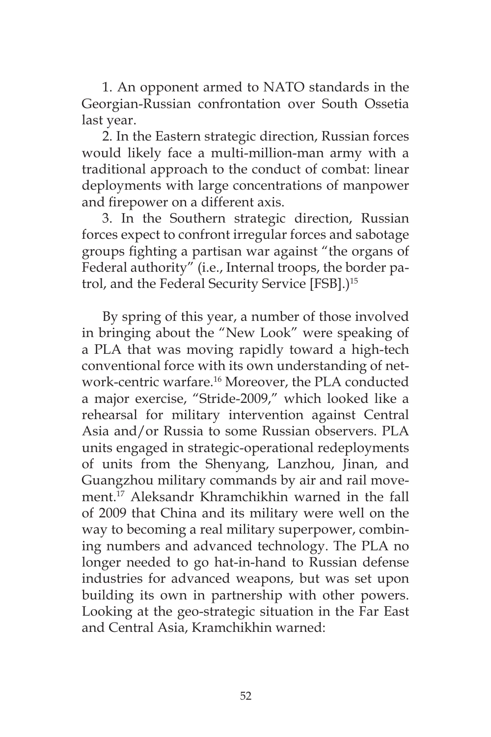1. An opponent armed to NATO standards in the Georgian-Russian confrontation over South Ossetia last year.

2. In the Eastern strategic direction, Russian forces would likely face a multi-million-man army with a traditional approach to the conduct of combat: linear deployments with large concentrations of manpower and firepower on a different axis.

3. In the Southern strategic direction, Russian forces expect to confront irregular forces and sabotage groups fighting a partisan war against "the organs of Federal authority" (i.e., Internal troops, the border patrol, and the Federal Security Service [FSB].)<sup>15</sup>

By spring of this year, a number of those involved in bringing about the "New Look" were speaking of a PLA that was moving rapidly toward a high-tech conventional force with its own understanding of network-centric warfare.16 Moreover, the PLA conducted a major exercise, "Stride-2009," which looked like a rehearsal for military intervention against Central Asia and/or Russia to some Russian observers. PLA units engaged in strategic-operational redeployments of units from the Shenyang, Lanzhou, Jinan, and Guangzhou military commands by air and rail movement.17 Aleksandr Khramchikhin warned in the fall of 2009 that China and its military were well on the way to becoming a real military superpower, combining numbers and advanced technology. The PLA no longer needed to go hat-in-hand to Russian defense industries for advanced weapons, but was set upon building its own in partnership with other powers. Looking at the geo-strategic situation in the Far East and Central Asia, Kramchikhin warned: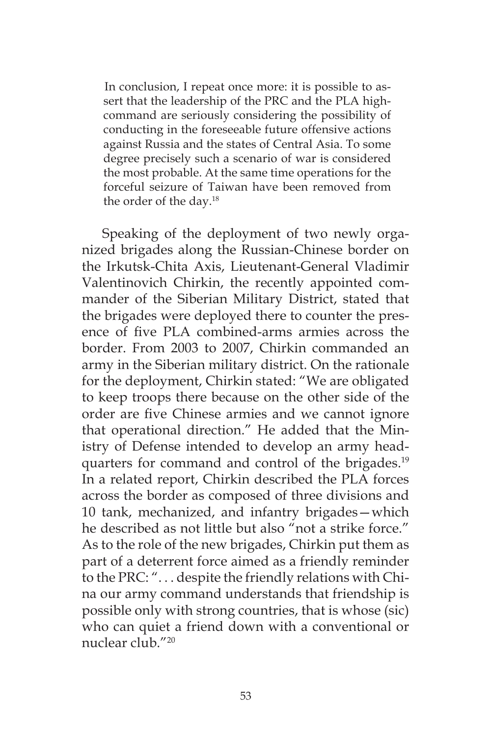In conclusion, I repeat once more: it is possible to assert that the leadership of the PRC and the PLA highcommand are seriously considering the possibility of conducting in the foreseeable future offensive actions against Russia and the states of Central Asia. To some degree precisely such a scenario of war is considered the most probable. At the same time operations for the forceful seizure of Taiwan have been removed from the order of the day.18

Speaking of the deployment of two newly organized brigades along the Russian-Chinese border on the Irkutsk-Chita Axis, Lieutenant-General Vladimir Valentinovich Chirkin, the recently appointed commander of the Siberian Military District, stated that the brigades were deployed there to counter the presence of five PLA combined-arms armies across the border. From 2003 to 2007, Chirkin commanded an army in the Siberian military district. On the rationale for the deployment, Chirkin stated: "We are obligated to keep troops there because on the other side of the order are five Chinese armies and we cannot ignore that operational direction." He added that the Ministry of Defense intended to develop an army headquarters for command and control of the brigades.<sup>19</sup> In a related report, Chirkin described the PLA forces across the border as composed of three divisions and 10 tank, mechanized, and infantry brigades—which he described as not little but also "not a strike force." As to the role of the new brigades, Chirkin put them as part of a deterrent force aimed as a friendly reminder to the PRC: ". . . despite the friendly relations with China our army command understands that friendship is possible only with strong countries, that is whose (sic) who can quiet a friend down with a conventional or nuclear club."20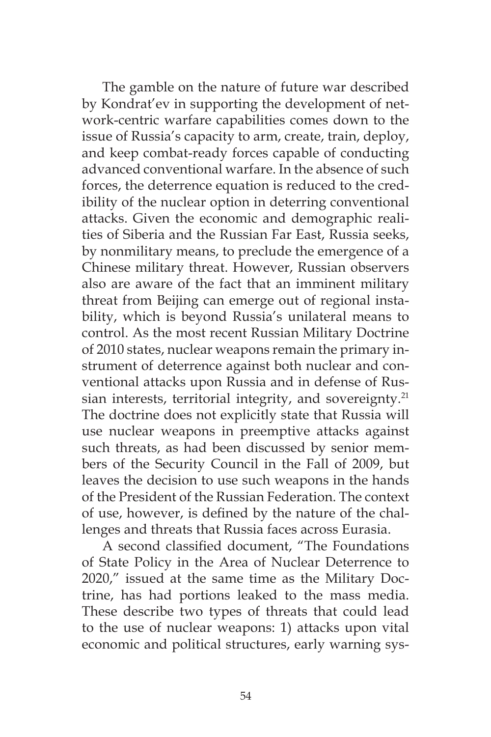The gamble on the nature of future war described by Kondrat'ev in supporting the development of network-centric warfare capabilities comes down to the issue of Russia's capacity to arm, create, train, deploy, and keep combat-ready forces capable of conducting advanced conventional warfare. In the absence of such forces, the deterrence equation is reduced to the credibility of the nuclear option in deterring conventional attacks. Given the economic and demographic realities of Siberia and the Russian Far East, Russia seeks, by nonmilitary means, to preclude the emergence of a Chinese military threat. However, Russian observers also are aware of the fact that an imminent military threat from Beijing can emerge out of regional instability, which is beyond Russia's unilateral means to control. As the most recent Russian Military Doctrine of 2010 states, nuclear weapons remain the primary instrument of deterrence against both nuclear and conventional attacks upon Russia and in defense of Russian interests, territorial integrity, and sovereignty.<sup>21</sup> The doctrine does not explicitly state that Russia will use nuclear weapons in preemptive attacks against such threats, as had been discussed by senior members of the Security Council in the Fall of 2009, but leaves the decision to use such weapons in the hands of the President of the Russian Federation. The context of use, however, is defined by the nature of the challenges and threats that Russia faces across Eurasia.

A second classified document, "The Foundations of State Policy in the Area of Nuclear Deterrence to 2020," issued at the same time as the Military Doctrine, has had portions leaked to the mass media. These describe two types of threats that could lead to the use of nuclear weapons: 1) attacks upon vital economic and political structures, early warning sys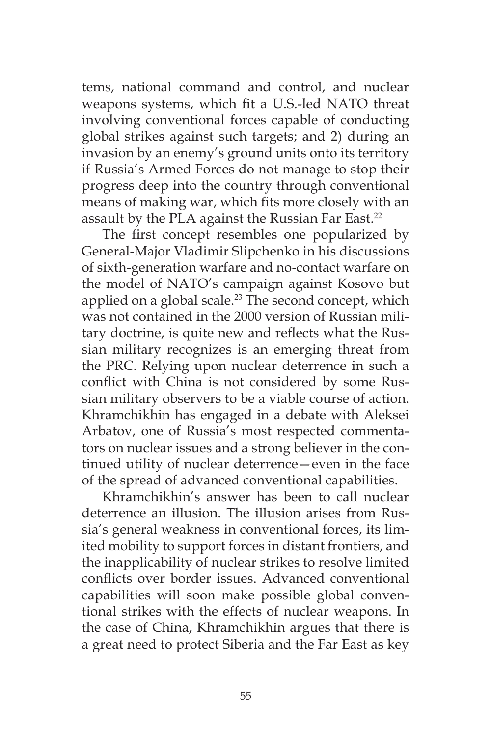tems, national command and control, and nuclear weapons systems, which fit a U.S.-led NATO threat involving conventional forces capable of conducting global strikes against such targets; and 2) during an invasion by an enemy's ground units onto its territory if Russia's Armed Forces do not manage to stop their progress deep into the country through conventional means of making war, which fits more closely with an assault by the PLA against the Russian Far East.<sup>22</sup>

The first concept resembles one popularized by General-Major Vladimir Slipchenko in his discussions of sixth-generation warfare and no-contact warfare on the model of NATO's campaign against Kosovo but applied on a global scale.<sup>23</sup> The second concept, which was not contained in the 2000 version of Russian military doctrine, is quite new and reflects what the Russian military recognizes is an emerging threat from the PRC. Relying upon nuclear deterrence in such a conflict with China is not considered by some Russian military observers to be a viable course of action. Khramchikhin has engaged in a debate with Aleksei Arbatov, one of Russia's most respected commentators on nuclear issues and a strong believer in the continued utility of nuclear deterrence—even in the face of the spread of advanced conventional capabilities.

Khramchikhin's answer has been to call nuclear deterrence an illusion. The illusion arises from Russia's general weakness in conventional forces, its limited mobility to support forces in distant frontiers, and the inapplicability of nuclear strikes to resolve limited conflicts over border issues. Advanced conventional capabilities will soon make possible global conventional strikes with the effects of nuclear weapons. In the case of China, Khramchikhin argues that there is a great need to protect Siberia and the Far East as key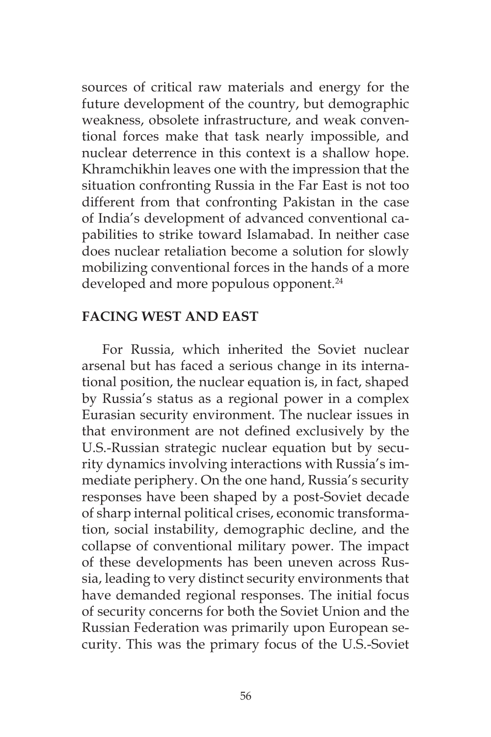sources of critical raw materials and energy for the future development of the country, but demographic weakness, obsolete infrastructure, and weak conventional forces make that task nearly impossible, and nuclear deterrence in this context is a shallow hope. Khramchikhin leaves one with the impression that the situation confronting Russia in the Far East is not too different from that confronting Pakistan in the case of India's development of advanced conventional capabilities to strike toward Islamabad. In neither case does nuclear retaliation become a solution for slowly mobilizing conventional forces in the hands of a more developed and more populous opponent.<sup>24</sup>

### **FACING WEST AND EAST**

For Russia, which inherited the Soviet nuclear arsenal but has faced a serious change in its international position, the nuclear equation is, in fact, shaped by Russia's status as a regional power in a complex Eurasian security environment. The nuclear issues in that environment are not defined exclusively by the U.S.-Russian strategic nuclear equation but by security dynamics involving interactions with Russia's immediate periphery. On the one hand, Russia's security responses have been shaped by a post-Soviet decade of sharp internal political crises, economic transformation, social instability, demographic decline, and the collapse of conventional military power. The impact of these developments has been uneven across Russia, leading to very distinct security environments that have demanded regional responses. The initial focus of security concerns for both the Soviet Union and the Russian Federation was primarily upon European security. This was the primary focus of the U.S.-Soviet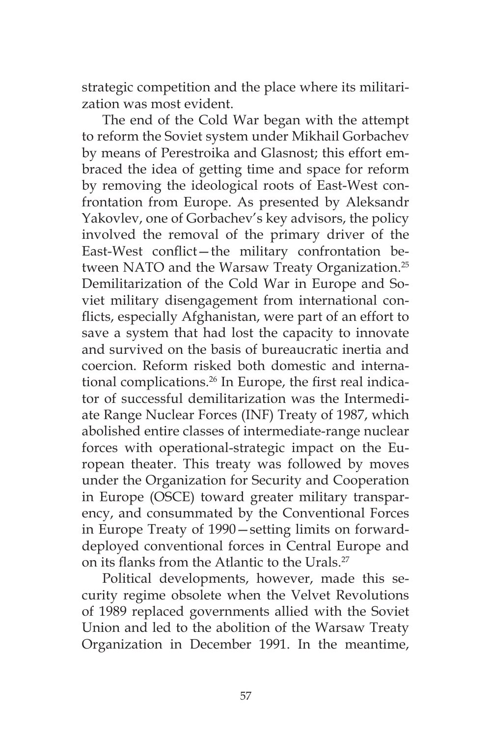strategic competition and the place where its militarization was most evident.

The end of the Cold War began with the attempt to reform the Soviet system under Mikhail Gorbachev by means of Perestroika and Glasnost; this effort embraced the idea of getting time and space for reform by removing the ideological roots of East-West confrontation from Europe. As presented by Aleksandr Yakovlev, one of Gorbachev's key advisors, the policy involved the removal of the primary driver of the East-West conflict—the military confrontation between NATO and the Warsaw Treaty Organization.<sup>25</sup> Demilitarization of the Cold War in Europe and Soviet military disengagement from international conflicts, especially Afghanistan, were part of an effort to save a system that had lost the capacity to innovate and survived on the basis of bureaucratic inertia and coercion. Reform risked both domestic and international complications.<sup>26</sup> In Europe, the first real indicator of successful demilitarization was the Intermediate Range Nuclear Forces (INF) Treaty of 1987, which abolished entire classes of intermediate-range nuclear forces with operational-strategic impact on the European theater. This treaty was followed by moves under the Organization for Security and Cooperation in Europe (OSCE) toward greater military transparency, and consummated by the Conventional Forces in Europe Treaty of 1990—setting limits on forwarddeployed conventional forces in Central Europe and on its flanks from the Atlantic to the Urals.<sup>27</sup>

Political developments, however, made this security regime obsolete when the Velvet Revolutions of 1989 replaced governments allied with the Soviet Union and led to the abolition of the Warsaw Treaty Organization in December 1991. In the meantime,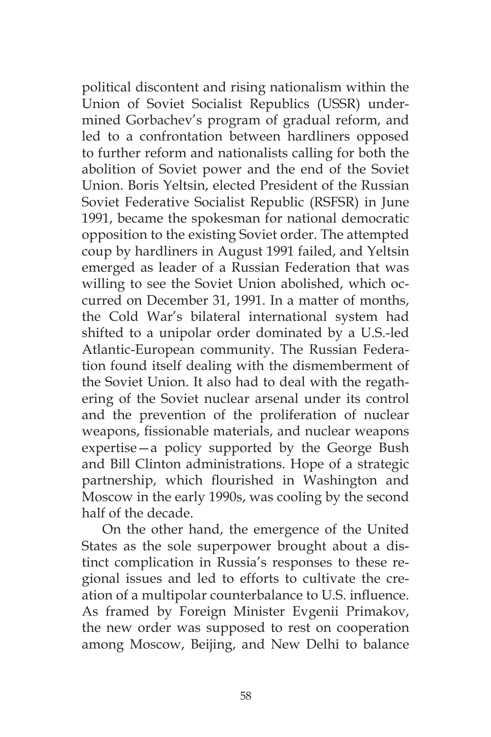political discontent and rising nationalism within the Union of Soviet Socialist Republics (USSR) undermined Gorbachev's program of gradual reform, and led to a confrontation between hardliners opposed to further reform and nationalists calling for both the abolition of Soviet power and the end of the Soviet Union. Boris Yeltsin, elected President of the Russian Soviet Federative Socialist Republic (RSFSR) in June 1991, became the spokesman for national democratic opposition to the existing Soviet order. The attempted coup by hardliners in August 1991 failed, and Yeltsin emerged as leader of a Russian Federation that was willing to see the Soviet Union abolished, which occurred on December 31, 1991. In a matter of months, the Cold War's bilateral international system had shifted to a unipolar order dominated by a U.S.-led Atlantic-European community. The Russian Federation found itself dealing with the dismemberment of the Soviet Union. It also had to deal with the regathering of the Soviet nuclear arsenal under its control and the prevention of the proliferation of nuclear weapons, fissionable materials, and nuclear weapons expertise—a policy supported by the George Bush and Bill Clinton administrations. Hope of a strategic partnership, which flourished in Washington and Moscow in the early 1990s, was cooling by the second half of the decade.

On the other hand, the emergence of the United States as the sole superpower brought about a distinct complication in Russia's responses to these regional issues and led to efforts to cultivate the creation of a multipolar counterbalance to U.S. influence. As framed by Foreign Minister Evgenii Primakov, the new order was supposed to rest on cooperation among Moscow, Beijing, and New Delhi to balance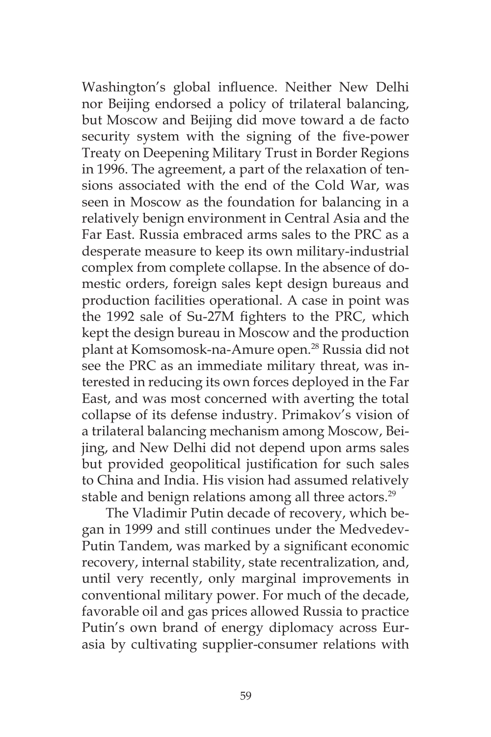Washington's global influence. Neither New Delhi nor Beijing endorsed a policy of trilateral balancing, but Moscow and Beijing did move toward a de facto security system with the signing of the five-power Treaty on Deepening Military Trust in Border Regions in 1996. The agreement, a part of the relaxation of tensions associated with the end of the Cold War, was seen in Moscow as the foundation for balancing in a relatively benign environment in Central Asia and the Far East. Russia embraced arms sales to the PRC as a desperate measure to keep its own military-industrial complex from complete collapse. In the absence of domestic orders, foreign sales kept design bureaus and production facilities operational. A case in point was the 1992 sale of Su-27M fighters to the PRC, which kept the design bureau in Moscow and the production plant at Komsomosk-na-Amure open.28 Russia did not see the PRC as an immediate military threat, was interested in reducing its own forces deployed in the Far East, and was most concerned with averting the total collapse of its defense industry. Primakov's vision of a trilateral balancing mechanism among Moscow, Beijing, and New Delhi did not depend upon arms sales but provided geopolitical justification for such sales to China and India. His vision had assumed relatively stable and benign relations among all three actors.<sup>29</sup>

The Vladimir Putin decade of recovery, which began in 1999 and still continues under the Medvedev-Putin Tandem, was marked by a significant economic recovery, internal stability, state recentralization, and, until very recently, only marginal improvements in conventional military power. For much of the decade, favorable oil and gas prices allowed Russia to practice Putin's own brand of energy diplomacy across Eurasia by cultivating supplier-consumer relations with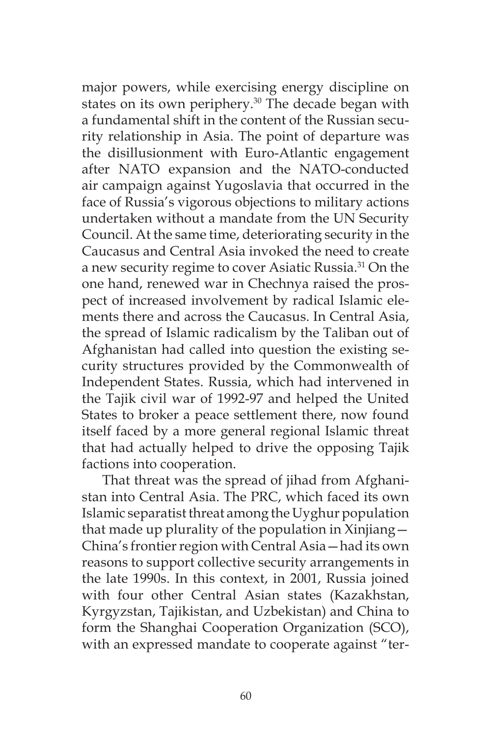major powers, while exercising energy discipline on states on its own periphery.<sup>30</sup> The decade began with a fundamental shift in the content of the Russian security relationship in Asia. The point of departure was the disillusionment with Euro-Atlantic engagement after NATO expansion and the NATO-conducted air campaign against Yugoslavia that occurred in the face of Russia's vigorous objections to military actions undertaken without a mandate from the UN Security Council. At the same time, deteriorating security in the Caucasus and Central Asia invoked the need to create a new security regime to cover Asiatic Russia.<sup>31</sup> On the one hand, renewed war in Chechnya raised the prospect of increased involvement by radical Islamic elements there and across the Caucasus. In Central Asia, the spread of Islamic radicalism by the Taliban out of Afghanistan had called into question the existing security structures provided by the Commonwealth of Independent States. Russia, which had intervened in the Tajik civil war of 1992-97 and helped the United States to broker a peace settlement there, now found itself faced by a more general regional Islamic threat that had actually helped to drive the opposing Tajik factions into cooperation.

That threat was the spread of jihad from Afghanistan into Central Asia. The PRC, which faced its own Islamic separatist threat among the Uyghur population that made up plurality of the population in Xinjiang— China's frontier region with Central Asia—had its own reasons to support collective security arrangements in the late 1990s. In this context, in 2001, Russia joined with four other Central Asian states (Kazakhstan, Kyrgyzstan, Tajikistan, and Uzbekistan) and China to form the Shanghai Cooperation Organization (SCO), with an expressed mandate to cooperate against "ter-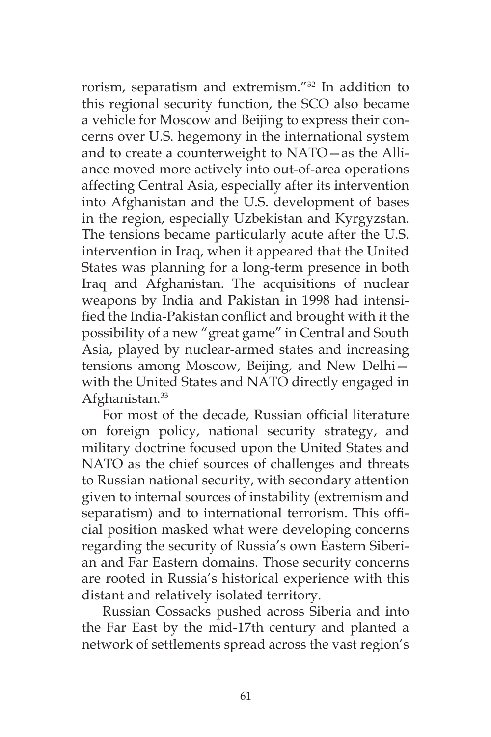rorism, separatism and extremism."32 In addition to this regional security function, the SCO also became a vehicle for Moscow and Beijing to express their concerns over U.S. hegemony in the international system and to create a counterweight to NATO—as the Alliance moved more actively into out-of-area operations affecting Central Asia, especially after its intervention into Afghanistan and the U.S. development of bases in the region, especially Uzbekistan and Kyrgyzstan. The tensions became particularly acute after the U.S. intervention in Iraq, when it appeared that the United States was planning for a long-term presence in both Iraq and Afghanistan. The acquisitions of nuclear weapons by India and Pakistan in 1998 had intensified the India-Pakistan conflict and brought with it the possibility of a new "great game" in Central and South Asia, played by nuclear-armed states and increasing tensions among Moscow, Beijing, and New Delhi with the United States and NATO directly engaged in Afghanistan.<sup>33</sup>

For most of the decade, Russian official literature on foreign policy, national security strategy, and military doctrine focused upon the United States and NATO as the chief sources of challenges and threats to Russian national security, with secondary attention given to internal sources of instability (extremism and separatism) and to international terrorism. This official position masked what were developing concerns regarding the security of Russia's own Eastern Siberian and Far Eastern domains. Those security concerns are rooted in Russia's historical experience with this distant and relatively isolated territory.

Russian Cossacks pushed across Siberia and into the Far East by the mid-17th century and planted a network of settlements spread across the vast region's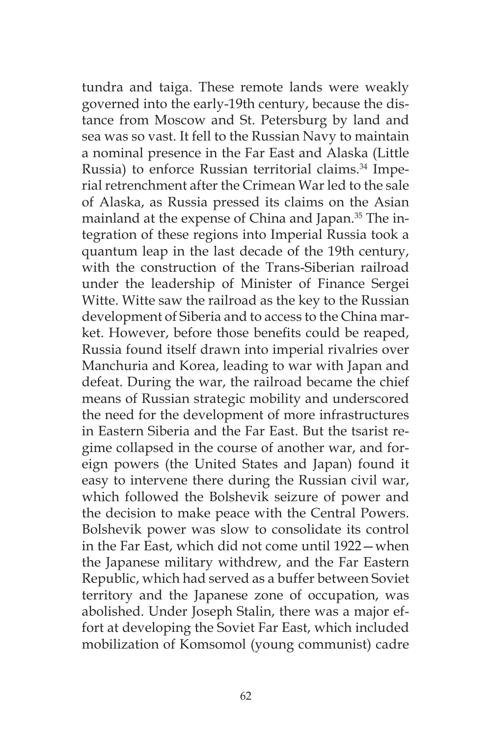tundra and taiga. These remote lands were weakly governed into the early-19th century, because the distance from Moscow and St. Petersburg by land and sea was so vast. It fell to the Russian Navy to maintain a nominal presence in the Far East and Alaska (Little Russia) to enforce Russian territorial claims.<sup>34</sup> Imperial retrenchment after the Crimean War led to the sale of Alaska, as Russia pressed its claims on the Asian mainland at the expense of China and Japan.<sup>35</sup> The integration of these regions into Imperial Russia took a quantum leap in the last decade of the 19th century, with the construction of the Trans-Siberian railroad under the leadership of Minister of Finance Sergei Witte. Witte saw the railroad as the key to the Russian development of Siberia and to access to the China market. However, before those benefits could be reaped, Russia found itself drawn into imperial rivalries over Manchuria and Korea, leading to war with Japan and defeat. During the war, the railroad became the chief means of Russian strategic mobility and underscored the need for the development of more infrastructures in Eastern Siberia and the Far East. But the tsarist regime collapsed in the course of another war, and foreign powers (the United States and Japan) found it easy to intervene there during the Russian civil war, which followed the Bolshevik seizure of power and the decision to make peace with the Central Powers. Bolshevik power was slow to consolidate its control in the Far East, which did not come until 1922—when the Japanese military withdrew, and the Far Eastern Republic, which had served as a buffer between Soviet territory and the Japanese zone of occupation, was abolished. Under Joseph Stalin, there was a major effort at developing the Soviet Far East, which included mobilization of Komsomol (young communist) cadre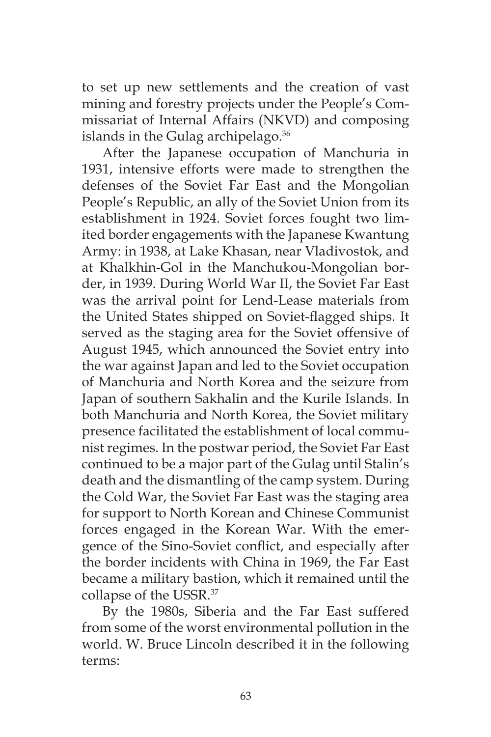to set up new settlements and the creation of vast mining and forestry projects under the People's Commissariat of Internal Affairs (NKVD) and composing islands in the Gulag archipelago.<sup>36</sup>

After the Japanese occupation of Manchuria in 1931, intensive efforts were made to strengthen the defenses of the Soviet Far East and the Mongolian People's Republic, an ally of the Soviet Union from its establishment in 1924. Soviet forces fought two limited border engagements with the Japanese Kwantung Army: in 1938, at Lake Khasan, near Vladivostok, and at Khalkhin-Gol in the Manchukou-Mongolian border, in 1939. During World War II, the Soviet Far East was the arrival point for Lend-Lease materials from the United States shipped on Soviet-flagged ships. It served as the staging area for the Soviet offensive of August 1945, which announced the Soviet entry into the war against Japan and led to the Soviet occupation of Manchuria and North Korea and the seizure from Japan of southern Sakhalin and the Kurile Islands. In both Manchuria and North Korea, the Soviet military presence facilitated the establishment of local communist regimes. In the postwar period, the Soviet Far East continued to be a major part of the Gulag until Stalin's death and the dismantling of the camp system. During the Cold War, the Soviet Far East was the staging area for support to North Korean and Chinese Communist forces engaged in the Korean War. With the emergence of the Sino-Soviet conflict, and especially after the border incidents with China in 1969, the Far East became a military bastion, which it remained until the collapse of the USSR.37

By the 1980s, Siberia and the Far East suffered from some of the worst environmental pollution in the world. W. Bruce Lincoln described it in the following terms: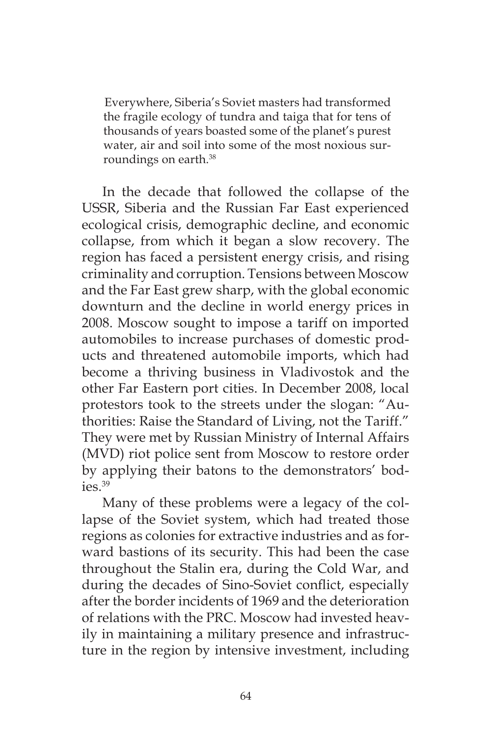Everywhere, Siberia's Soviet masters had transformed the fragile ecology of tundra and taiga that for tens of thousands of years boasted some of the planet's purest water, air and soil into some of the most noxious surroundings on earth.<sup>38</sup>

In the decade that followed the collapse of the USSR, Siberia and the Russian Far East experienced ecological crisis, demographic decline, and economic collapse, from which it began a slow recovery. The region has faced a persistent energy crisis, and rising criminality and corruption. Tensions between Moscow and the Far East grew sharp, with the global economic downturn and the decline in world energy prices in 2008. Moscow sought to impose a tariff on imported automobiles to increase purchases of domestic products and threatened automobile imports, which had become a thriving business in Vladivostok and the other Far Eastern port cities. In December 2008, local protestors took to the streets under the slogan: "Authorities: Raise the Standard of Living, not the Tariff." They were met by Russian Ministry of Internal Affairs (MVD) riot police sent from Moscow to restore order by applying their batons to the demonstrators' bodies.39

Many of these problems were a legacy of the collapse of the Soviet system, which had treated those regions as colonies for extractive industries and as forward bastions of its security. This had been the case throughout the Stalin era, during the Cold War, and during the decades of Sino-Soviet conflict, especially after the border incidents of 1969 and the deterioration of relations with the PRC. Moscow had invested heavily in maintaining a military presence and infrastructure in the region by intensive investment, including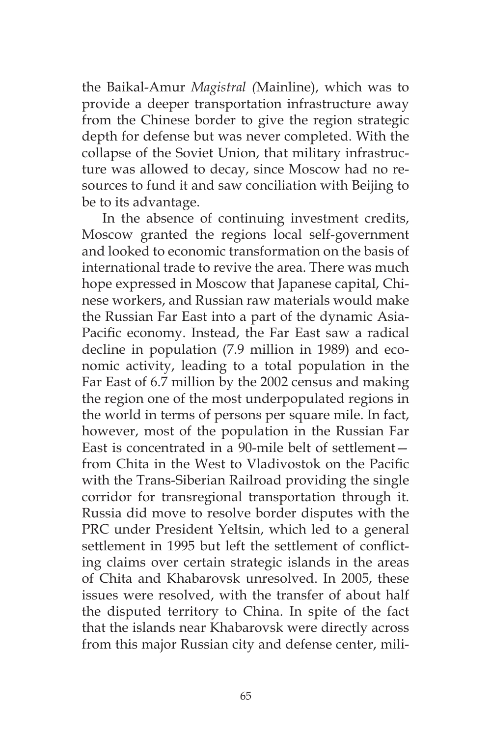the Baikal-Amur *Magistral (*Mainline), which was to provide a deeper transportation infrastructure away from the Chinese border to give the region strategic depth for defense but was never completed. With the collapse of the Soviet Union, that military infrastructure was allowed to decay, since Moscow had no resources to fund it and saw conciliation with Beijing to be to its advantage.

In the absence of continuing investment credits, Moscow granted the regions local self-government and looked to economic transformation on the basis of international trade to revive the area. There was much hope expressed in Moscow that Japanese capital, Chinese workers, and Russian raw materials would make the Russian Far East into a part of the dynamic Asia-Pacific economy. Instead, the Far East saw a radical decline in population (7.9 million in 1989) and economic activity, leading to a total population in the Far East of 6.7 million by the 2002 census and making the region one of the most underpopulated regions in the world in terms of persons per square mile. In fact, however, most of the population in the Russian Far East is concentrated in a 90-mile belt of settlement from Chita in the West to Vladivostok on the Pacific with the Trans-Siberian Railroad providing the single corridor for transregional transportation through it. Russia did move to resolve border disputes with the PRC under President Yeltsin, which led to a general settlement in 1995 but left the settlement of conflicting claims over certain strategic islands in the areas of Chita and Khabarovsk unresolved. In 2005, these issues were resolved, with the transfer of about half the disputed territory to China. In spite of the fact that the islands near Khabarovsk were directly across from this major Russian city and defense center, mili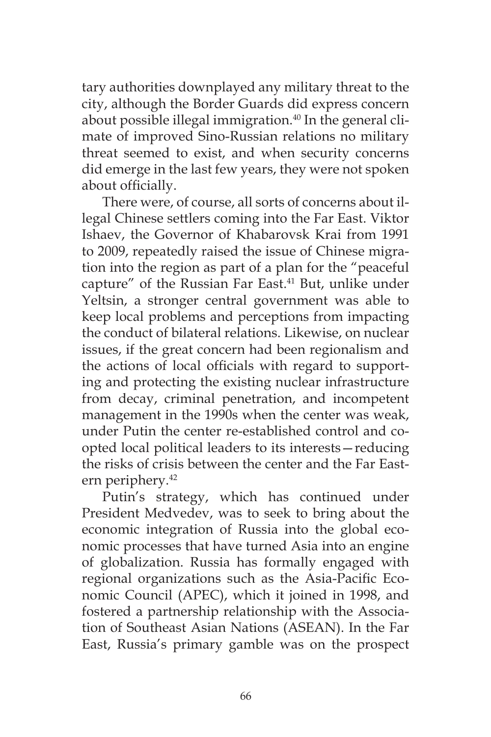tary authorities downplayed any military threat to the city, although the Border Guards did express concern about possible illegal immigration.<sup>40</sup> In the general climate of improved Sino-Russian relations no military threat seemed to exist, and when security concerns did emerge in the last few years, they were not spoken about officially.

There were, of course, all sorts of concerns about illegal Chinese settlers coming into the Far East. Viktor Ishaev, the Governor of Khabarovsk Krai from 1991 to 2009, repeatedly raised the issue of Chinese migration into the region as part of a plan for the "peaceful capture" of the Russian Far East.<sup>41</sup> But, unlike under Yeltsin, a stronger central government was able to keep local problems and perceptions from impacting the conduct of bilateral relations. Likewise, on nuclear issues, if the great concern had been regionalism and the actions of local officials with regard to supporting and protecting the existing nuclear infrastructure from decay, criminal penetration, and incompetent management in the 1990s when the center was weak, under Putin the center re-established control and coopted local political leaders to its interests—reducing the risks of crisis between the center and the Far Eastern periphery.<sup>42</sup>

Putin's strategy, which has continued under President Medvedev, was to seek to bring about the economic integration of Russia into the global economic processes that have turned Asia into an engine of globalization. Russia has formally engaged with regional organizations such as the Asia-Pacific Economic Council (APEC), which it joined in 1998, and fostered a partnership relationship with the Association of Southeast Asian Nations (ASEAN). In the Far East, Russia's primary gamble was on the prospect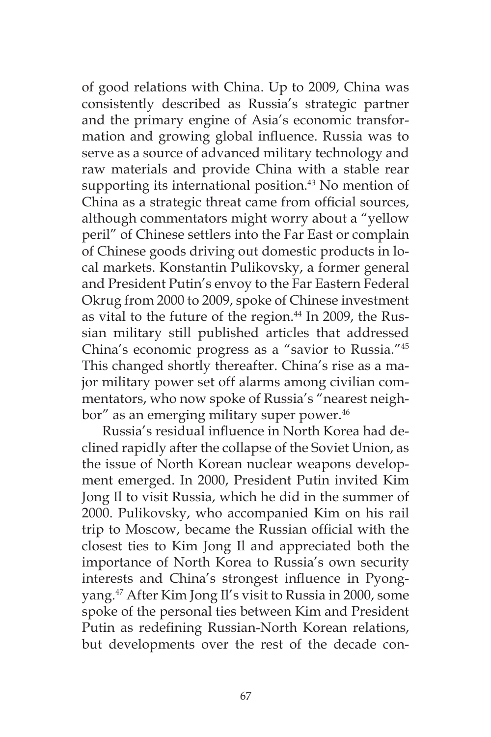of good relations with China. Up to 2009, China was consistently described as Russia's strategic partner and the primary engine of Asia's economic transformation and growing global influence. Russia was to serve as a source of advanced military technology and raw materials and provide China with a stable rear supporting its international position.<sup>43</sup> No mention of China as a strategic threat came from official sources, although commentators might worry about a "yellow peril" of Chinese settlers into the Far East or complain of Chinese goods driving out domestic products in local markets. Konstantin Pulikovsky, a former general and President Putin's envoy to the Far Eastern Federal Okrug from 2000 to 2009, spoke of Chinese investment as vital to the future of the region.<sup>44</sup> In 2009, the Russian military still published articles that addressed China's economic progress as a "savior to Russia."45 This changed shortly thereafter. China's rise as a major military power set off alarms among civilian commentators, who now spoke of Russia's "nearest neighbor" as an emerging military super power.<sup>46</sup>

Russia's residual influence in North Korea had declined rapidly after the collapse of the Soviet Union, as the issue of North Korean nuclear weapons development emerged. In 2000, President Putin invited Kim Jong Il to visit Russia, which he did in the summer of 2000. Pulikovsky, who accompanied Kim on his rail trip to Moscow, became the Russian official with the closest ties to Kim Jong Il and appreciated both the importance of North Korea to Russia's own security interests and China's strongest influence in Pyongyang.47 After Kim Jong Il's visit to Russia in 2000, some spoke of the personal ties between Kim and President Putin as redefining Russian-North Korean relations, but developments over the rest of the decade con-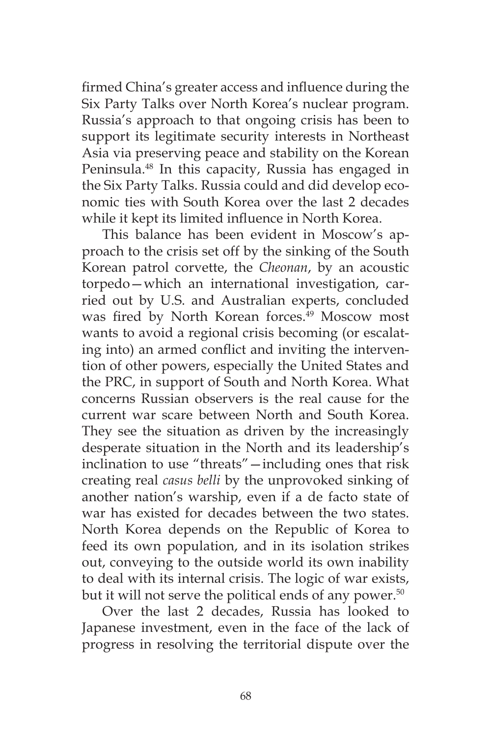firmed China's greater access and influence during the Six Party Talks over North Korea's nuclear program. Russia's approach to that ongoing crisis has been to support its legitimate security interests in Northeast Asia via preserving peace and stability on the Korean Peninsula.48 In this capacity, Russia has engaged in the Six Party Talks. Russia could and did develop economic ties with South Korea over the last 2 decades while it kept its limited influence in North Korea.

This balance has been evident in Moscow's approach to the crisis set off by the sinking of the South Korean patrol corvette, the *Cheonan*, by an acoustic torpedo—which an international investigation, carried out by U.S. and Australian experts, concluded was fired by North Korean forces.<sup>49</sup> Moscow most wants to avoid a regional crisis becoming (or escalating into) an armed conflict and inviting the intervention of other powers, especially the United States and the PRC, in support of South and North Korea. What concerns Russian observers is the real cause for the current war scare between North and South Korea. They see the situation as driven by the increasingly desperate situation in the North and its leadership's inclination to use "threats"—including ones that risk creating real *casus belli* by the unprovoked sinking of another nation's warship, even if a de facto state of war has existed for decades between the two states. North Korea depends on the Republic of Korea to feed its own population, and in its isolation strikes out, conveying to the outside world its own inability to deal with its internal crisis. The logic of war exists, but it will not serve the political ends of any power.<sup>50</sup>

Over the last 2 decades, Russia has looked to Japanese investment, even in the face of the lack of progress in resolving the territorial dispute over the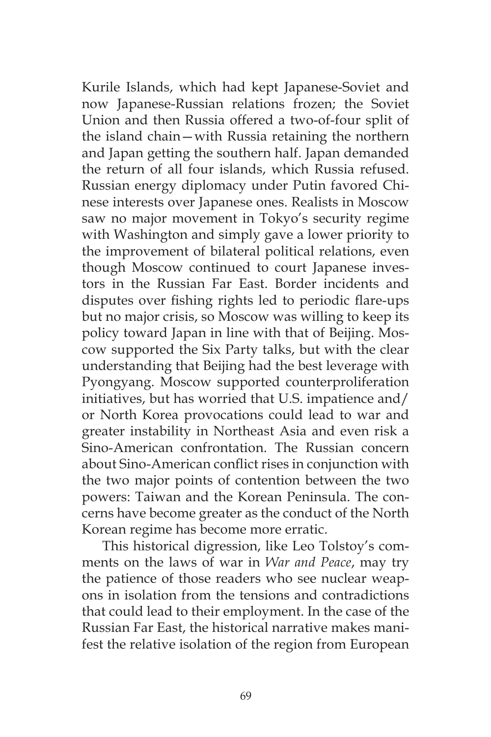Kurile Islands, which had kept Japanese-Soviet and now Japanese-Russian relations frozen; the Soviet Union and then Russia offered a two-of-four split of the island chain—with Russia retaining the northern and Japan getting the southern half. Japan demanded the return of all four islands, which Russia refused. Russian energy diplomacy under Putin favored Chinese interests over Japanese ones. Realists in Moscow saw no major movement in Tokyo's security regime with Washington and simply gave a lower priority to the improvement of bilateral political relations, even though Moscow continued to court Japanese investors in the Russian Far East. Border incidents and disputes over fishing rights led to periodic flare-ups but no major crisis, so Moscow was willing to keep its policy toward Japan in line with that of Beijing. Moscow supported the Six Party talks, but with the clear understanding that Beijing had the best leverage with Pyongyang. Moscow supported counterproliferation initiatives, but has worried that U.S. impatience and/ or North Korea provocations could lead to war and greater instability in Northeast Asia and even risk a Sino-American confrontation. The Russian concern about Sino-American conflict rises in conjunction with the two major points of contention between the two powers: Taiwan and the Korean Peninsula. The concerns have become greater as the conduct of the North Korean regime has become more erratic.

This historical digression, like Leo Tolstoy's comments on the laws of war in *War and Peace*, may try the patience of those readers who see nuclear weapons in isolation from the tensions and contradictions that could lead to their employment. In the case of the Russian Far East, the historical narrative makes manifest the relative isolation of the region from European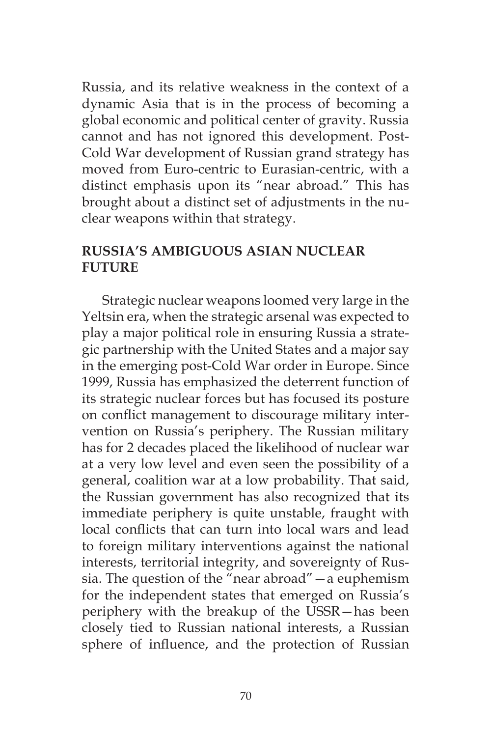Russia, and its relative weakness in the context of a dynamic Asia that is in the process of becoming a global economic and political center of gravity. Russia cannot and has not ignored this development. Post-Cold War development of Russian grand strategy has moved from Euro-centric to Eurasian-centric, with a distinct emphasis upon its "near abroad." This has brought about a distinct set of adjustments in the nuclear weapons within that strategy.

# **RUSSIA'S AMBIGUOUS ASIAN NUCLEAR FUTURE**

Strategic nuclear weapons loomed very large in the Yeltsin era, when the strategic arsenal was expected to play a major political role in ensuring Russia a strategic partnership with the United States and a major say in the emerging post-Cold War order in Europe. Since 1999, Russia has emphasized the deterrent function of its strategic nuclear forces but has focused its posture on conflict management to discourage military intervention on Russia's periphery. The Russian military has for 2 decades placed the likelihood of nuclear war at a very low level and even seen the possibility of a general, coalition war at a low probability. That said, the Russian government has also recognized that its immediate periphery is quite unstable, fraught with local conflicts that can turn into local wars and lead to foreign military interventions against the national interests, territorial integrity, and sovereignty of Russia. The question of the "near abroad"—a euphemism for the independent states that emerged on Russia's periphery with the breakup of the USSR—has been closely tied to Russian national interests, a Russian sphere of influence, and the protection of Russian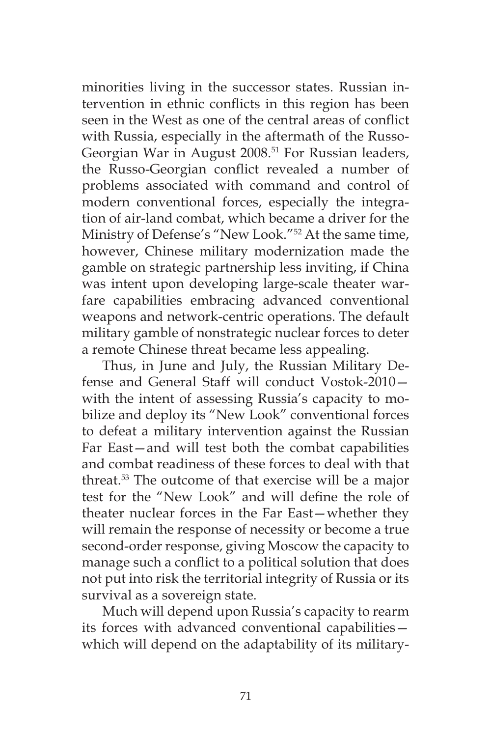minorities living in the successor states. Russian intervention in ethnic conflicts in this region has been seen in the West as one of the central areas of conflict with Russia, especially in the aftermath of the Russo-Georgian War in August 2008.<sup>51</sup> For Russian leaders, the Russo-Georgian conflict revealed a number of problems associated with command and control of modern conventional forces, especially the integration of air-land combat, which became a driver for the Ministry of Defense's "New Look."52 At the same time, however, Chinese military modernization made the gamble on strategic partnership less inviting, if China was intent upon developing large-scale theater warfare capabilities embracing advanced conventional weapons and network-centric operations. The default military gamble of nonstrategic nuclear forces to deter a remote Chinese threat became less appealing.

Thus, in June and July, the Russian Military Defense and General Staff will conduct Vostok-2010 with the intent of assessing Russia's capacity to mobilize and deploy its "New Look" conventional forces to defeat a military intervention against the Russian Far East—and will test both the combat capabilities and combat readiness of these forces to deal with that threat.53 The outcome of that exercise will be a major test for the "New Look" and will define the role of theater nuclear forces in the Far East—whether they will remain the response of necessity or become a true second-order response, giving Moscow the capacity to manage such a conflict to a political solution that does not put into risk the territorial integrity of Russia or its survival as a sovereign state.

Much will depend upon Russia's capacity to rearm its forces with advanced conventional capabilities which will depend on the adaptability of its military-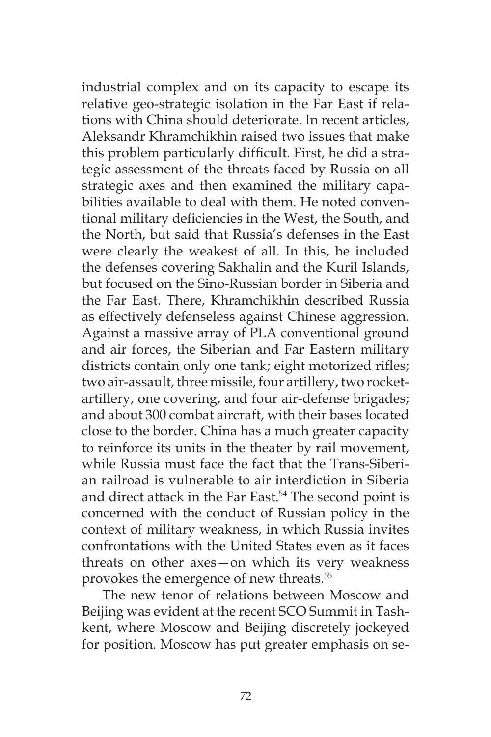industrial complex and on its capacity to escape its relative geo-strategic isolation in the Far East if relations with China should deteriorate. In recent articles, Aleksandr Khramchikhin raised two issues that make this problem particularly difficult. First, he did a strategic assessment of the threats faced by Russia on all strategic axes and then examined the military capabilities available to deal with them. He noted conventional military deficiencies in the West, the South, and the North, but said that Russia's defenses in the East were clearly the weakest of all. In this, he included the defenses covering Sakhalin and the Kuril Islands, but focused on the Sino-Russian border in Siberia and the Far East. There, Khramchikhin described Russia as effectively defenseless against Chinese aggression. Against a massive array of PLA conventional ground and air forces, the Siberian and Far Eastern military districts contain only one tank; eight motorized rifles; two air-assault, three missile, four artillery, two rocketartillery, one covering, and four air-defense brigades; and about 300 combat aircraft, with their bases located close to the border. China has a much greater capacity to reinforce its units in the theater by rail movement, while Russia must face the fact that the Trans-Siberian railroad is vulnerable to air interdiction in Siberia and direct attack in the Far East.<sup>54</sup> The second point is concerned with the conduct of Russian policy in the context of military weakness, in which Russia invites confrontations with the United States even as it faces threats on other axes—on which its very weakness provokes the emergence of new threats.<sup>55</sup>

The new tenor of relations between Moscow and Beijing was evident at the recent SCO Summit in Tashkent, where Moscow and Beijing discretely jockeyed for position. Moscow has put greater emphasis on se-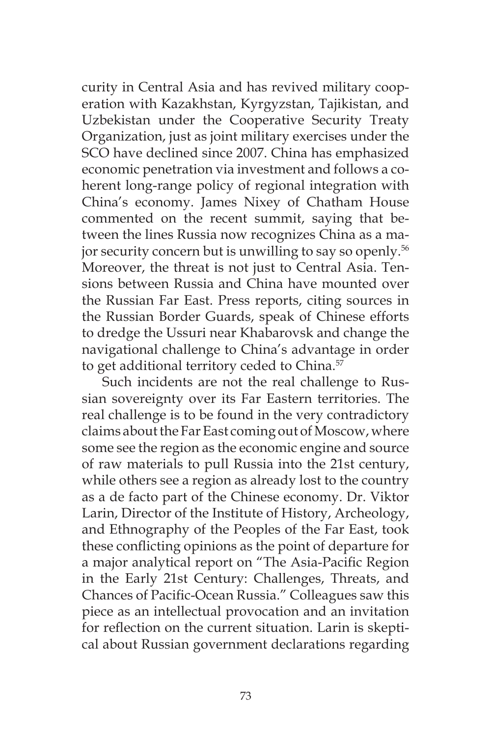curity in Central Asia and has revived military cooperation with Kazakhstan, Kyrgyzstan, Tajikistan, and Uzbekistan under the Cooperative Security Treaty Organization, just as joint military exercises under the SCO have declined since 2007. China has emphasized economic penetration via investment and follows a coherent long-range policy of regional integration with China's economy. James Nixey of Chatham House commented on the recent summit, saying that between the lines Russia now recognizes China as a major security concern but is unwilling to say so openly.<sup>56</sup> Moreover, the threat is not just to Central Asia. Tensions between Russia and China have mounted over the Russian Far East. Press reports, citing sources in the Russian Border Guards, speak of Chinese efforts to dredge the Ussuri near Khabarovsk and change the navigational challenge to China's advantage in order to get additional territory ceded to China.<sup>57</sup>

Such incidents are not the real challenge to Russian sovereignty over its Far Eastern territories. The real challenge is to be found in the very contradictory claims about the Far East coming out of Moscow, where some see the region as the economic engine and source of raw materials to pull Russia into the 21st century, while others see a region as already lost to the country as a de facto part of the Chinese economy. Dr. Viktor Larin, Director of the Institute of History, Archeology, and Ethnography of the Peoples of the Far East, took these conflicting opinions as the point of departure for a major analytical report on "The Asia-Pacific Region in the Early 21st Century: Challenges, Threats, and Chances of Pacific-Ocean Russia." Colleagues saw this piece as an intellectual provocation and an invitation for reflection on the current situation. Larin is skeptical about Russian government declarations regarding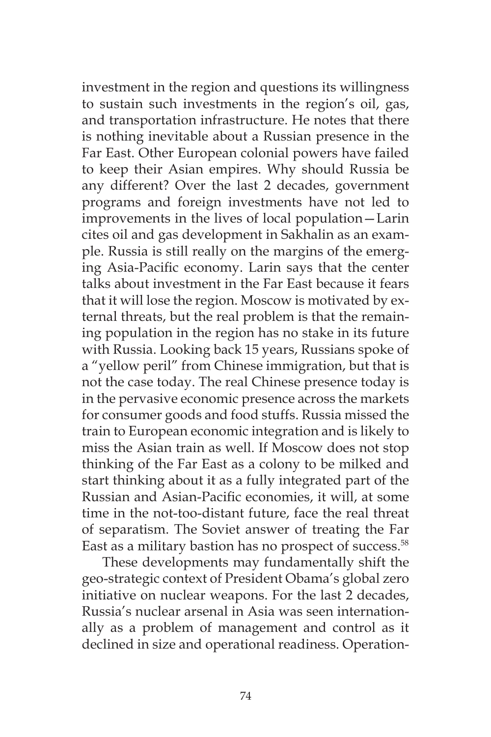investment in the region and questions its willingness to sustain such investments in the region's oil, gas, and transportation infrastructure. He notes that there is nothing inevitable about a Russian presence in the Far East. Other European colonial powers have failed to keep their Asian empires. Why should Russia be any different? Over the last 2 decades, government programs and foreign investments have not led to improvements in the lives of local population—Larin cites oil and gas development in Sakhalin as an example. Russia is still really on the margins of the emerging Asia-Pacific economy. Larin says that the center talks about investment in the Far East because it fears that it will lose the region. Moscow is motivated by external threats, but the real problem is that the remaining population in the region has no stake in its future with Russia. Looking back 15 years, Russians spoke of a "yellow peril" from Chinese immigration, but that is not the case today. The real Chinese presence today is in the pervasive economic presence across the markets for consumer goods and food stuffs. Russia missed the train to European economic integration and is likely to miss the Asian train as well. If Moscow does not stop thinking of the Far East as a colony to be milked and start thinking about it as a fully integrated part of the Russian and Asian-Pacific economies, it will, at some time in the not-too-distant future, face the real threat of separatism. The Soviet answer of treating the Far East as a military bastion has no prospect of success.<sup>58</sup>

These developments may fundamentally shift the geo-strategic context of President Obama's global zero initiative on nuclear weapons. For the last 2 decades, Russia's nuclear arsenal in Asia was seen internationally as a problem of management and control as it declined in size and operational readiness. Operation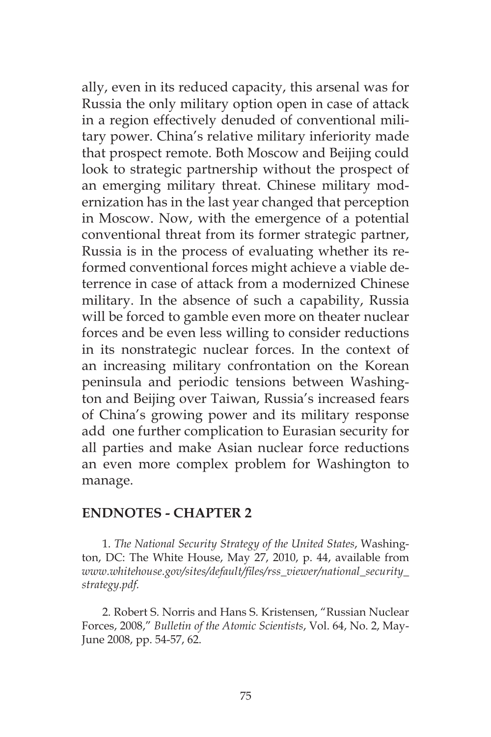ally, even in its reduced capacity, this arsenal was for Russia the only military option open in case of attack in a region effectively denuded of conventional military power. China's relative military inferiority made that prospect remote. Both Moscow and Beijing could look to strategic partnership without the prospect of an emerging military threat. Chinese military modernization has in the last year changed that perception in Moscow. Now, with the emergence of a potential conventional threat from its former strategic partner, Russia is in the process of evaluating whether its reformed conventional forces might achieve a viable deterrence in case of attack from a modernized Chinese military. In the absence of such a capability, Russia will be forced to gamble even more on theater nuclear forces and be even less willing to consider reductions in its nonstrategic nuclear forces. In the context of an increasing military confrontation on the Korean peninsula and periodic tensions between Washington and Beijing over Taiwan, Russia's increased fears of China's growing power and its military response add one further complication to Eurasian security for all parties and make Asian nuclear force reductions an even more complex problem for Washington to manage.

#### **ENDNOTES - CHAPTER 2**

1. *The National Security Strategy of the United States*, Washington, DC: The White House, May 27, 2010, p. 44, available from *www.whitehouse.gov/sites/default/files/rss\_viewer/national\_security\_ strategy.pdf.*

2. Robert S. Norris and Hans S. Kristensen, "Russian Nuclear Forces, 2008," *Bulletin of the Atomic Scientists*, Vol. 64, No. 2, May-June 2008, pp. 54-57, 62.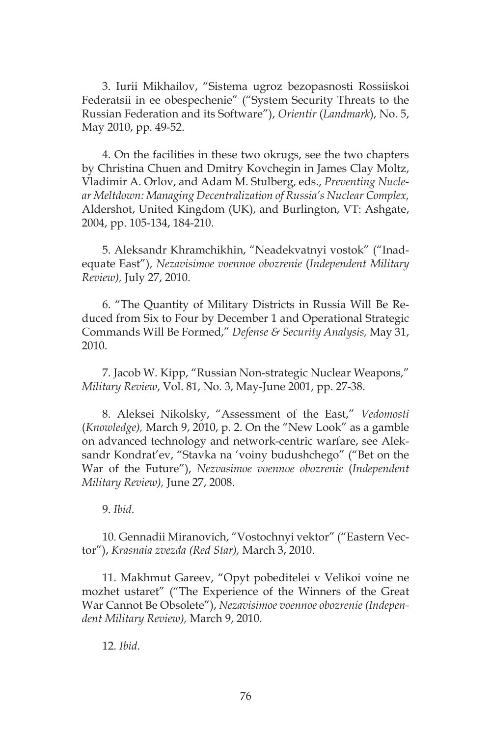3. Iurii Mikhailov, "Sistema ugroz bezopasnosti Rossiiskoi Federatsii in ee obespechenie" ("System Security Threats to the Russian Federation and its Software"), *Orientir* (*Landmark*), No. 5, May 2010, pp. 49-52.

4. On the facilities in these two okrugs, see the two chapters by Christina Chuen and Dmitry Kovchegin in James Clay Moltz, Vladimir A. Orlov, and Adam M. Stulberg, eds., *Preventing Nuclear Meltdown: Managing Decentralization of Russia's Nuclear Complex,* Aldershot, United Kingdom (UK), and Burlington, VT: Ashgate, 2004, pp. 105-134, 184-210.

5. Aleksandr Khramchikhin, "Neadekvatnyi vostok" ("Inadequate East"), *Nezavisimoe voennoe obozrenie* (*Independent Military Review),* July 27, 2010.

6. "The Quantity of Military Districts in Russia Will Be Reduced from Six to Four by December 1 and Operational Strategic Commands Will Be Formed," *Defense & Security Analysis,* May 31, 2010.

7. Jacob W. Kipp, "Russian Non-strategic Nuclear Weapons," *Military Review*, Vol. 81, No. 3, May-June 2001, pp. 27-38.

8. Aleksei Nikolsky, "Assessment of the East," *Vedomosti* (*Knowledge),* March 9, 2010, p. 2. On the "New Look" as a gamble on advanced technology and network-centric warfare, see Aleksandr Kondrat'ev, "Stavka na 'voiny budushchego" ("Bet on the War of the Future"), *Nezvasimoe voennoe obozrenie* (*Independent Military Review),* June 27, 2008.

9. *Ibid*.

10. Gennadii Miranovich, "Vostochnyi vektor" ("Eastern Vector"), *Krasnaia zvezda (Red Star),* March 3, 2010.

11. Makhmut Gareev, "Opyt pobeditelei v Velikoi voine ne mozhet ustaret" ("The Experience of the Winners of the Great War Cannot Be Obsolete"), *Nezavisimoe voennoe obozrenie (Independent Military Review),* March 9, 2010.

12. *Ibid*.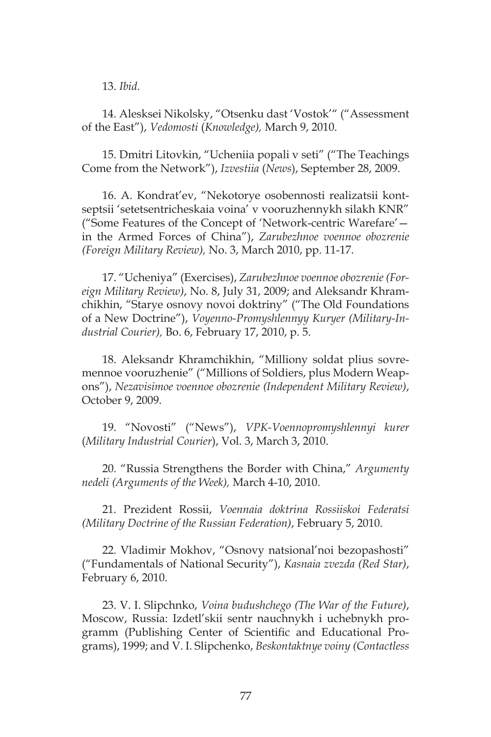13. *Ibid*.

14. Alesksei Nikolsky, "Otsenku dast 'Vostok'" ("Assessment of the East"), *Vedomosti* (*Knowledge),* March 9, 2010.

15. Dmitri Litovkin, "Ucheniia popali v seti" ("The Teachings Come from the Network"), *Izvestiia* (*News*), September 28, 2009.

16. A. Kondrat'ev, "Nekotorye osobennosti realizatsii kontseptsii 'setetsentricheskaia voina' v vooruzhennykh silakh KNR" ("Some Features of the Concept of 'Network-centric Warefare' in the Armed Forces of China"), *Zarubezhnoe voennoe obozrenie (Foreign Military Review),* No. 3, March 2010, pp. 11-17.

17. "Ucheniya" (Exercises), *Zarubezhnoe voennoe obozrenie (Foreign Military Review)*, No. 8, July 31, 2009; and Aleksandr Khramchikhin, "Starye osnovy novoi doktriny" ("The Old Foundations of a New Doctrine"), *Voyenno-Promyshlennyy Kuryer (Military-Industrial Courier),* Bo. 6, February 17, 2010, p. 5.

18. Aleksandr Khramchikhin, "Milliony soldat plius sovremennoe vooruzhenie" ("Millions of Soldiers, plus Modern Weapons"), *Nezavisimoe voennoe obozrenie (Independent Military Review)*, October 9, 2009.

19. "Novosti" ("News"), *VPK-Voennopromyshlennyi kurer* (*Military Industrial Courier*), Vol. 3, March 3, 2010.

20. "Russia Strengthens the Border with China," *Argumenty nedeli (Arguments of the Week),* March 4-10, 2010.

21. Prezident Rossii, *Voennaia doktrina Rossiiskoi Federatsi (Military Doctrine of the Russian Federation)*, February 5, 2010.

22. Vladimir Mokhov, "Osnovy natsional'noi bezopashosti" ("Fundamentals of National Security"), *Kasnaia zvezda (Red Star)*, February 6, 2010.

23. V. I. Slipchnko, *Voina budushchego (The War of the Future)*, Moscow, Russia: Izdetl'skii sentr nauchnykh i uchebnykh programm (Publishing Center of Scientific and Educational Programs), 1999; and V. I. Slipchenko, *Beskontaktnye voiny (Contactless*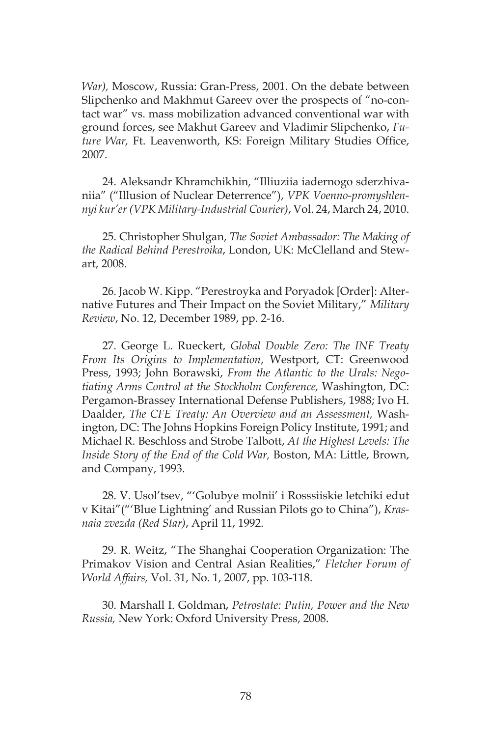*War),* Moscow, Russia: Gran-Press, 2001. On the debate between Slipchenko and Makhmut Gareev over the prospects of "no-contact war" vs. mass mobilization advanced conventional war with ground forces, see Makhut Gareev and Vladimir Slipchenko, *Future War,* Ft. Leavenworth, KS: Foreign Military Studies Office, 2007.

24. Aleksandr Khramchikhin, "Illiuziia iadernogo sderzhivaniia" ("Illusion of Nuclear Deterrence"), *VPK Voenno-promyshlennyi kur'er (VPK Military-Industrial Courier)*, Vol. 24, March 24, 2010.

25. Christopher Shulgan, *The Soviet Ambassador: The Making of the Radical Behind Perestroika*, London, UK: McClelland and Stewart, 2008.

26. Jacob W. Kipp. "Perestroyka and Poryadok [Order]: Alternative Futures and Their Impact on the Soviet Military," *Military Review*, No. 12, December 1989, pp. 2-16.

27. George L. Rueckert, *Global Double Zero: The INF Treaty From Its Origins to Implementation*, Westport, CT: Greenwood Press, 1993; John Borawski, *From the Atlantic to the Urals: Negotiating Arms Control at the Stockholm Conference,* Washington, DC: Pergamon-Brassey International Defense Publishers, 1988; Ivo H. Daalder, *The CFE Treaty: An Overview and an Assessment,* Washington, DC: The Johns Hopkins Foreign Policy Institute, 1991; and Michael R. Beschloss and Strobe Talbott, *At the Highest Levels: The Inside Story of the End of the Cold War,* Boston, MA: Little, Brown, and Company, 1993.

28. V. Usol'tsev, "'Golubye molnii' i Rosssiiskie letchiki edut v Kitai"("'Blue Lightning' and Russian Pilots go to China"), *Krasnaia zvezda (Red Star)*, April 11, 1992.

29. R. Weitz, "The Shanghai Cooperation Organization: The Primakov Vision and Central Asian Realities," *Fletcher Forum of World Affairs,* Vol. 31, No. 1, 2007, pp. 103-118.

30. Marshall I. Goldman, *Petrostate: Putin, Power and the New Russia,* New York: Oxford University Press, 2008.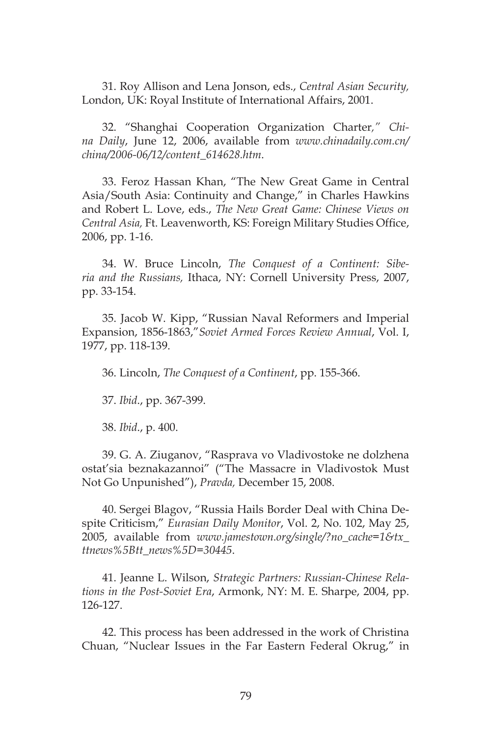31. Roy Allison and Lena Jonson, eds., *Central Asian Security,* London, UK: Royal Institute of International Affairs, 2001.

32. "Shanghai Cooperation Organization Charter*," China Daily*, June 12, 2006, available from *www.chinadaily.com.cn/ china/2006-06/12/content\_614628.htm*.

33. Feroz Hassan Khan, "The New Great Game in Central Asia/South Asia: Continuity and Change," in Charles Hawkins and Robert L. Love, eds., *The New Great Game: Chinese Views on Central Asia,* Ft. Leavenworth, KS: Foreign Military Studies Office, 2006, pp. 1-16.

34. W. Bruce Lincoln, *The Conquest of a Continent: Siberia and the Russians,* Ithaca, NY: Cornell University Press, 2007, pp. 33-154.

35. Jacob W. Kipp, "Russian Naval Reformers and Imperial Expansion, 1856-1863,"*Soviet Armed Forces Review Annual*, Vol. I, 1977, pp. 118-139.

36. Lincoln, *The Conquest of a Continent*, pp. 155-366.

37. *Ibid*., pp. 367-399.

38. *Ibid*., p. 400.

39. G. A. Ziuganov, "Rasprava vo Vladivostoke ne dolzhena ostat'sia beznakazannoi" ("The Massacre in Vladivostok Must Not Go Unpunished"), *Pravda,* December 15, 2008.

40. Sergei Blagov, "Russia Hails Border Deal with China Despite Criticism," *Eurasian Daily Monitor*, Vol. 2, No. 102, May 25, 2005, available from *www.jamestown.org/single/?no\_cache=1&tx\_ ttnews%5Btt\_news%5D=30445*.

41. Jeanne L. Wilson, *Strategic Partners: Russian-Chinese Relations in the Post-Soviet Era*, Armonk, NY: M. E. Sharpe, 2004, pp. 126-127.

42. This process has been addressed in the work of Christina Chuan, "Nuclear Issues in the Far Eastern Federal Okrug," in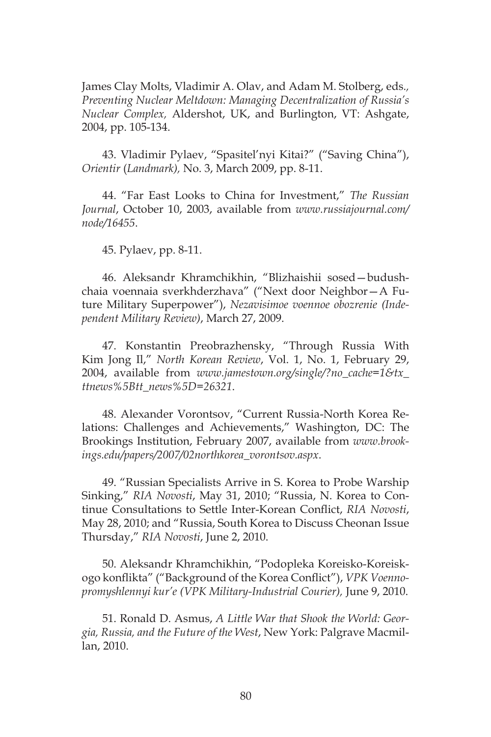James Clay Molts, Vladimir A. Olav, and Adam M. Stolberg, eds*., Preventing Nuclear Meltdown: Managing Decentralization of Russia's Nuclear Complex,* Aldershot, UK, and Burlington, VT: Ashgate, 2004, pp. 105-134.

43. Vladimir Pylaev, "Spasitel'nyi Kitai?" ("Saving China"), *Orientir* (*Landmark),* No. 3, March 2009, pp. 8-11.

44. "Far East Looks to China for Investment," *The Russian Journal*, October 10, 2003, available from *www.russiajournal.com/ node/16455*.

45. Pylaev, pp. 8-11.

46. Aleksandr Khramchikhin, "Blizhaishii sosed—budushchaia voennaia sverkhderzhava" ("Next door Neighbor—A Future Military Superpower"), *Nezavisimoe voennoe obozrenie (Independent Military Review)*, March 27, 2009.

47. Konstantin Preobrazhensky, "Through Russia With Kim Jong Il," *North Korean Review*, Vol. 1, No. 1, February 29, 2004, available from *www.jamestown.org/single/?no\_cache=1&tx\_ ttnews%5Btt\_news%5D=26321*.

48. Alexander Vorontsov, "Current Russia-North Korea Relations: Challenges and Achievements," Washington, DC: The Brookings Institution, February 2007, available from *www.brookings.edu/papers/2007/02northkorea\_vorontsov.aspx*.

49. "Russian Specialists Arrive in S. Korea to Probe Warship Sinking," *RIA Novosti*, May 31, 2010; "Russia, N. Korea to Continue Consultations to Settle Inter-Korean Conflict, *RIA Novosti*, May 28, 2010; and "Russia, South Korea to Discuss Cheonan Issue Thursday," *RIA Novosti*, June 2, 2010.

50. Aleksandr Khramchikhin, "Podopleka Koreisko-Koreiskogo konflikta" ("Background of the Korea Conflict"), *VPK Voennopromyshlennyi kur'e (VPK Military-Industrial Courier),* June 9, 2010.

51. Ronald D. Asmus, *A Little War that Shook the World: Georgia, Russia, and the Future of the West*, New York: Palgrave Macmillan, 2010.